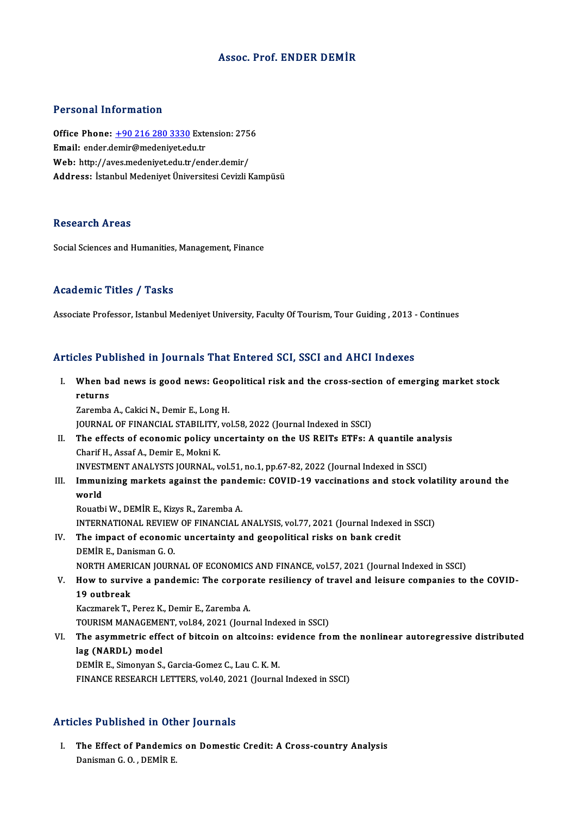## Assoc. Prof. ENDER DEMİR

#### Personal Information

Personal Information<br>Office Phone: <u>+90 216 280 3330</u> Extension: 2756<br>Email: ander demin@medeniust.edu.tr Procession Internation<br>Office Phone: <u>+90 216 280 3330</u> External: ender.d[emir@medeniyet.ed](tel:+90 216 280 3330)u.tr Office Phone: <u>+90 216 280 3330</u> Extension: 275<br>Email: ender.demir@medeniyet.edu.tr<br>Web: http://aves.medeniyet.edu.tr/ender.demir/<br>Address. Istanbul Medeniyet.flniversitesi.cavizli.k Email: ender.demir@medeniyet.edu.tr<br>Web: http://aves.medeniyet.edu.tr/ender.demir/<br>Address: İstanbul Medeniyet Üniversitesi Cevizli Kampüsü

#### Research Areas

Social Sciences and Humanities, Management, Finance

#### Academic Titles / Tasks

Associate Professor, Istanbul Medeniyet University, Faculty Of Tourism, Tour Guiding , 2013 - Continues

### Articles Published in Journals That Entered SCI, SSCI and AHCI Indexes

rticles Published in Journals That Entered SCI, SSCI and AHCI Indexes<br>I. When bad news is good news: Geopolitical risk and the cross-section of emerging market stock<br>returns returns<br>Teturns<br>Taremba When bad news is good news: Geo<br>returns<br>Zaremba A., Cakici N., Demir E., Long H.<br>JOUPNAL OF EINANCIAL STABU ITV vo

returns<br>Zaremba A., Cakici N., Demir E., Long H.<br>JOURNAL OF FINANCIAL STABILITY, vol.58, 2022 (Journal Indexed in SSCI)

Zaremba A., Cakici N., Demir E., Long H.<br>JOURNAL OF FINANCIAL STABILITY, vol.58, 2022 (Journal Indexed in SSCI)<br>II. The effects of economic policy uncertainty on the US REITs ETFs: A quantile analysis<br>Charif H. Assaf A. Do JOURNAL OF FINANCIAL STABILITY,<br>The effects of economic policy un<br>Charif H., Assaf A., Demir E., Mokni K.<br>INVESTMENT ANALYSTS JOURNAL. The effects of economic policy uncertainty on the US REITs ETFs: A quantile and<br>Charif H., Assaf A., Demir E., Mokni K.<br>INVESTMENT ANALYSTS JOURNAL, vol.51, no.1, pp.67-82, 2022 (Journal Indexed in SSCI)

Charif H., Assaf A., Demir E., Mokni K.<br>INVESTMENT ANALYSTS JOURNAL, vol.51, no.1, pp.67-82, 2022 (Journal Indexed in SSCI)<br>III. Immunizing markets against the pandemic: COVID-19 vaccinations and stock volatility around th INVEST<br>I<mark>mmun</mark><br>world<br><sup>Rouath</sup> Immunizing markets against the pand<br>world<br>Rouatbi W., DEMİR E., Kizys R., Zaremba A.<br>INTERNATIONAL REVIEW OF EINANCIAL

world<br>Rouatbi W., DEMİR E., Kizys R., Zaremba A.<br>INTERNATIONAL REVIEW OF FINANCIAL ANALYSIS, vol.77, 2021 (Journal Indexed in SSCI)<br>The impact of esenomis uncertainty and geopolitical risks on bank spedit Rouatbi W., DEMİR E., Kizys R., Zaremba A.<br>INTERNATIONAL REVIEW OF FINANCIAL ANALYSIS, vol.77, 2021 (Journal Indexed<br>IV. The impact of economic uncertainty and geopolitical risks on bank credit<br>DEMİR E. Danisman G. Q.

- INTERNATIONAL REVIEW<br>The impact of economi<br>DEMİR E., Danisman G. O.<br>NOPTH AMERICAN IOURN The impact of economic uncertainty and geopolitical risks on bank credit<br>DEMİR E., Danisman G. O.<br>NORTH AMERICAN JOURNAL OF ECONOMICS AND FINANCE, vol.57, 2021 (Journal Indexed in SSCI)<br>How to eurwise a pandamia: The corpo DEMIR E., Danisman G. O.<br>NORTH AMERICAN JOURNAL OF ECONOMICS AND FINANCE, vol.57, 2021 (Journal Indexed in SSCI)<br>V. How to survive a pandemic: The corporate resiliency of travel and leisure companies to the COVID-<br>10 outbr
- NORTH AMERI<br>How to survi<br>19 outbreak<br>Kasmanak T How to survive a pandemic: The corpor<br>19 outbreak<br>Kaczmarek T., Perez K., Demir E., Zaremba A.<br>TOUPISM MANACEMENT, vol 94, 2021 (Jour)

19 outbreak<br>Kaczmarek T., Perez K., Demir E., Zaremba A.<br>TOURISM MANAGEMENT, vol.84, 2021 (Journal Indexed in SSCI)

Kaczmarek T., Perez K., Demir E., Zaremba A.<br>TOURISM MANAGEMENT, vol.84, 2021 (Journal Indexed in SSCI)<br>VI. The asymmetric effect of bitcoin on altcoins: evidence from the nonlinear autoregressive distributed<br>lag (NAPDL) m **TOURISM MANAGEME<br>The asymmetric effe**<br>lag (NARDL) model<br>DEM<sup>ip E</sup> Simonyan S The asymmetric effect of bitcoin on altcoins: e<br>lag (NARDL) model<br>DEMIR E., Simonyan S., Garcia-Gomez C., Lau C. K. M.<br>EINANCE RESEARCH LETTERS vol 40, 2021 (Journa

lag (NARDL) model<br>DEMİR E., Simonyan S., Garcia-Gomez C., Lau C. K. M.<br>FINANCE RESEARCH LETTERS, vol.40, 2021 (Journal Indexed in SSCI)

### Articles Published in Other Journals

rticles Published in Other Journals<br>I. The Effect of Pandemics on Domestic Credit: A Cross-country Analysis<br>Donisman C.O., DEMIR E The Effect of Pandemic<br>Danisman G.O., DEMİR E.